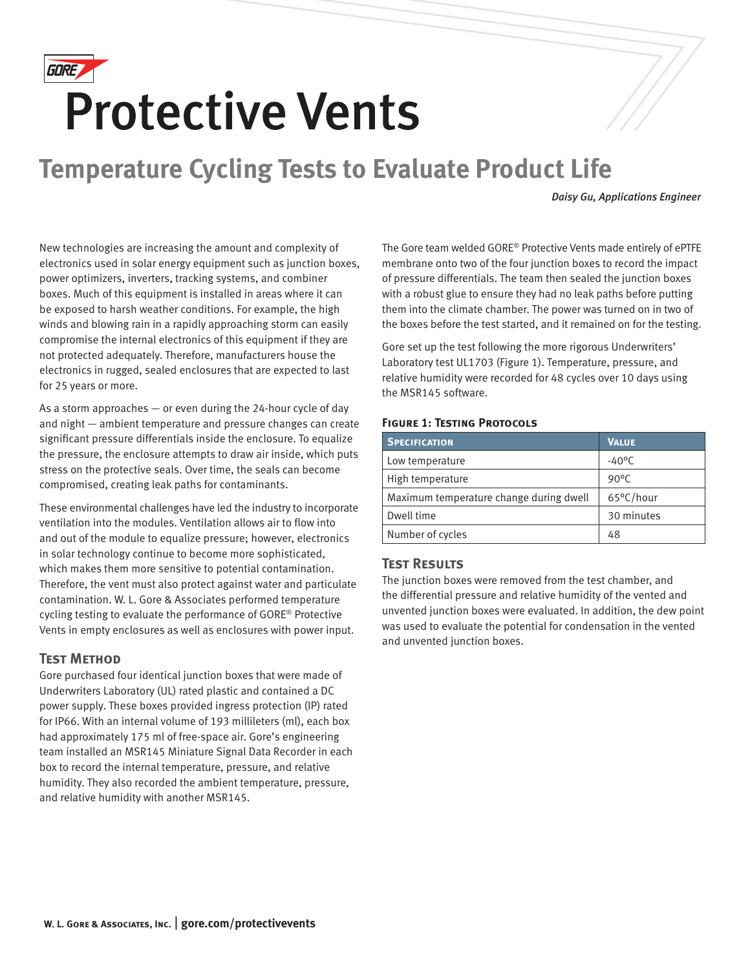

# **Protective Vents**

# **Temperature Cycling Tests to Evaluate Product Life**

*Daisy Gu, Applications Engineer*

New technologies are increasing the amount and complexity of electronics used in solar energy equipment such as junction boxes, power optimizers, inverters, tracking systems, and combiner boxes. Much of this equipment is installed in areas where it can be exposed to harsh weather conditions. For example, the high winds and blowing rain in a rapidly approaching storm can easily compromise the internal electronics of this equipment if they are not protected adequately. Therefore, manufacturers house the electronics in rugged, sealed enclosures that are expected to last for 25 years or more.

As a storm approaches — or even during the 24-hour cycle of day and night — ambient temperature and pressure changes can create significant pressure differentials inside the enclosure. To equalize the pressure, the enclosure attempts to draw air inside, which puts stress on the protective seals. Over time, the seals can become compromised, creating leak paths for contaminants.

These environmental challenges have led the industry to incorporate ventilation into the modules. Ventilation allows air to flow into and out of the module to equalize pressure; however, electronics in solar technology continue to become more sophisticated, which makes them more sensitive to potential contamination. Therefore, the vent must also protect against water and particulate contamination. W. L. Gore & Associates performed temperature cycling testing to evaluate the performance of GORE® Protective Vents in empty enclosures as well as enclosures with power input.

## **Test Method**

Gore purchased four identical junction boxes that were made of Underwriters Laboratory (UL) rated plastic and contained a DC power supply. These boxes provided ingress protection (IP) rated for IP66. With an internal volume of 193 millileters (ml), each box had approximately 175 ml of free-space air. Gore's engineering team installed an MSR145 Miniature Signal Data Recorder in each box to record the internal temperature, pressure, and relative humidity. They also recorded the ambient temperature, pressure, and relative humidity with another MSR145.

The Gore team welded GORE® Protective Vents made entirely of ePTFE membrane onto two of the four junction boxes to record the impact of pressure differentials. The team then sealed the junction boxes with a robust glue to ensure they had no leak paths before putting them into the climate chamber. The power was turned on in two of the boxes before the test started, and it remained on for the testing.

Gore set up the test following the more rigorous Underwriters' Laboratory test UL1703 (Figure 1). Temperature, pressure, and relative humidity were recorded for 48 cycles over 10 days using the MSR145 software.

#### **FIGURE 1: TESTING PROTOCOLS**

| <b>SPECIFICATION</b>                    | <b>VALUE</b>    |
|-----------------------------------------|-----------------|
| Low temperature                         | $-40^{\circ}$ C |
| High temperature                        | $90^{\circ}$ C  |
| Maximum temperature change during dwell | 65°C/hour       |
| Dwell time                              | 30 minutes      |
| Number of cycles                        | 48              |

## **Test Results**

The junction boxes were removed from the test chamber, and the differential pressure and relative humidity of the vented and unvented junction boxes were evaluated. In addition, the dew point was used to evaluate the potential for condensation in the vented and unvented junction boxes.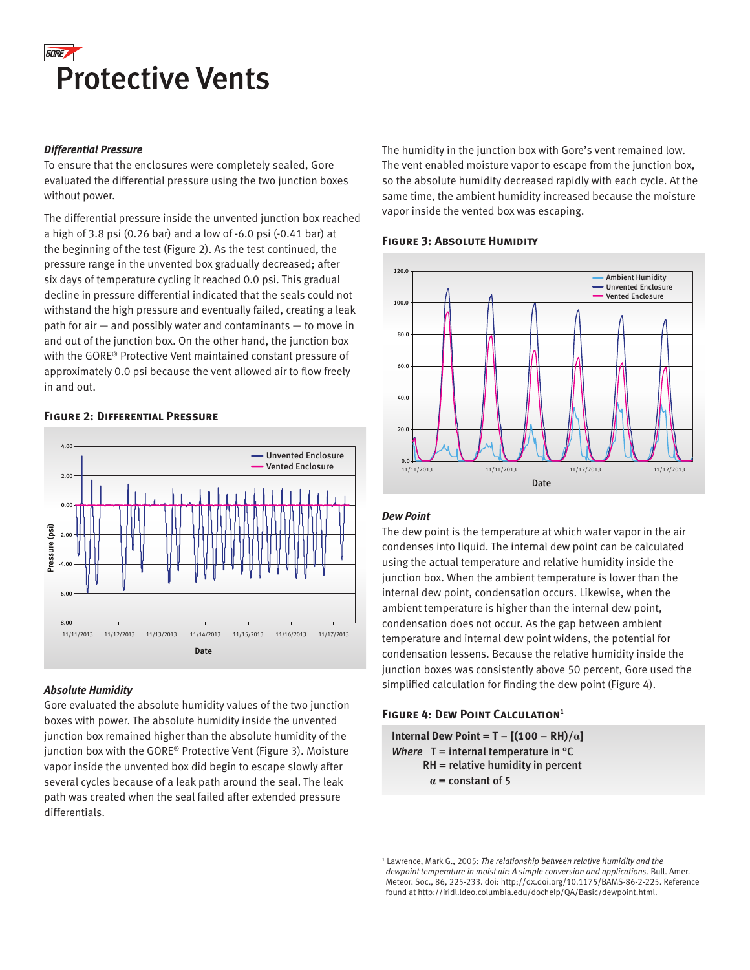

#### *Differential Pressure*

To ensure that the enclosures were completely sealed, Gore evaluated the differential pressure using the two junction boxes without power.

The differential pressure inside the unvented junction box reached a high of 3.8 psi (0.26 bar) and a low of -6.0 psi (-0.41 bar) at the beginning of the test (Figure 2). As the test continued, the pressure range in the unvented box gradually decreased; after six days of temperature cycling it reached 0.0 psi. This gradual decline in pressure differential indicated that the seals could not withstand the high pressure and eventually failed, creating a leak path for air — and possibly water and contaminants — to move in and out of the junction box. On the other hand, the junction box with the GORE® Protective Vent maintained constant pressure of approximately 0.0 psi because the vent allowed air to flow freely in and out.



#### **Figure 2: Differential Pressure**

## *Absolute Humidity*

Gore evaluated the absolute humidity values of the two junction boxes with power. The absolute humidity inside the unvented junction box remained higher than the absolute humidity of the junction box with the GORE® Protective Vent (Figure 3). Moisture vapor inside the unvented box did begin to escape slowly after several cycles because of a leak path around the seal. The leak path was created when the seal failed after extended pressure differentials.

The humidity in the junction box with Gore's vent remained low. The vent enabled moisture vapor to escape from the junction box, so the absolute humidity decreased rapidly with each cycle. At the same time, the ambient humidity increased because the moisture vapor inside the vented box was escaping.

## **FIGURE 3: ABSOLUTE HUMIDITY**



#### *Dew Point*

The dew point is the temperature at which water vapor in the air condenses into liquid. The internal dew point can be calculated using the actual temperature and relative humidity inside the junction box. When the ambient temperature is lower than the internal dew point, condensation occurs. Likewise, when the ambient temperature is higher than the internal dew point, condensation does not occur. As the gap between ambient temperature and internal dew point widens, the potential for condensation lessens. Because the relative humidity inside the junction boxes was consistently above 50 percent, Gore used the simplified calculation for finding the dew point (Figure 4).

#### **FIGURE 4: DEW POINT CALCULATION<sup>1</sup>**

**Internal Dew Point = T –**  $[(100 - RH)/\alpha]$ *Where*  $T =$  internal temperature in  ${}^{\circ}C$  RH = relative humidity in percent  $\alpha$  = constant of 5

<sup>1</sup> Lawrence, Mark G., 2005: The relationship between relative humidity and the *dewpoint temperature in moist air: A simple conversion and applications.* Bull. Amer. Meteor. Soc., 86, 225-233. doi: http;//dx.doi.org/10.1175/BAMS-86-2-225. Reference found at http://iridl.ldeo.columbia.edu/dochelp/QA/Basic/dewpoint.html.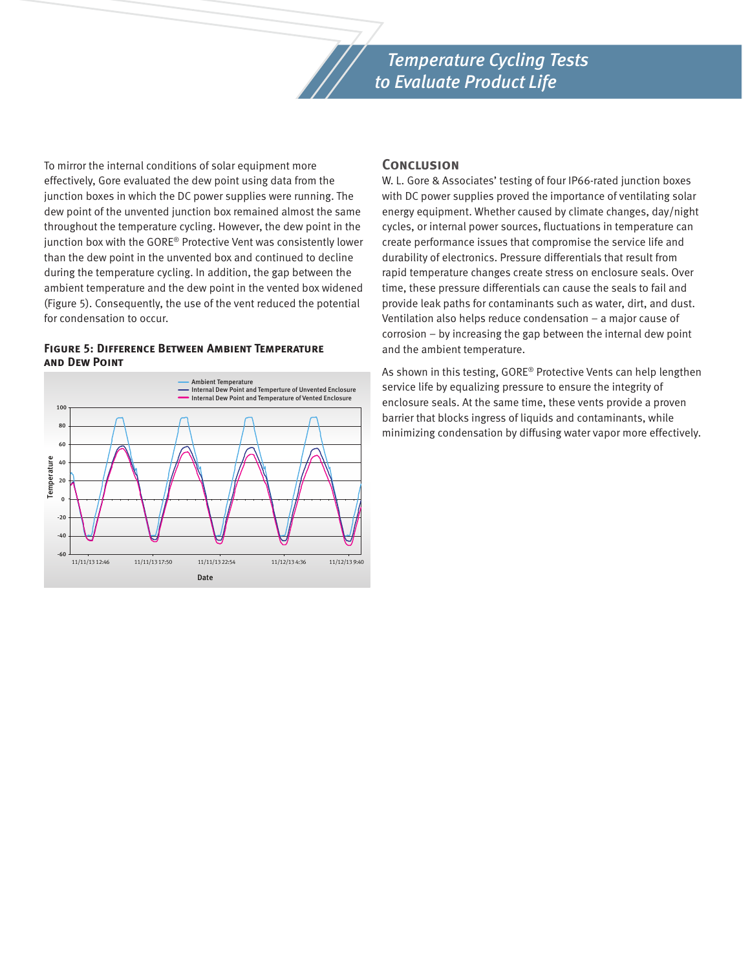

To mirror the internal conditions of solar equipment more effectively, Gore evaluated the dew point using data from the junction boxes in which the DC power supplies were running. The dew point of the unvented junction box remained almost the same throughout the temperature cycling. However, the dew point in the junction box with the GORE® Protective Vent was consistently lower than the dew point in the unvented box and continued to decline during the temperature cycling. In addition, the gap between the ambient temperature and the dew point in the vented box widened (Figure 5). Consequently, the use of the vent reduced the potential for condensation to occur.

#### **Figure 5: Difference Between Ambient Temperature and Dew Point**



#### **Conclusion**

W. L. Gore & Associates' testing of four IP66-rated junction boxes with DC power supplies proved the importance of ventilating solar energy equipment. Whether caused by climate changes, day/night cycles, or internal power sources, fluctuations in temperature can create performance issues that compromise the service life and durability of electronics. Pressure differentials that result from rapid temperature changes create stress on enclosure seals. Over time, these pressure differentials can cause the seals to fail and provide leak paths for contaminants such as water, dirt, and dust. Ventilation also helps reduce condensation – a major cause of corrosion – by increasing the gap between the internal dew point and the ambient temperature.

As shown in this testing, GORE® Protective Vents can help lengthen service life by equalizing pressure to ensure the integrity of enclosure seals. At the same time, these vents provide a proven barrier that blocks ingress of liquids and contaminants, while minimizing condensation by diffusing water vapor more effectively.